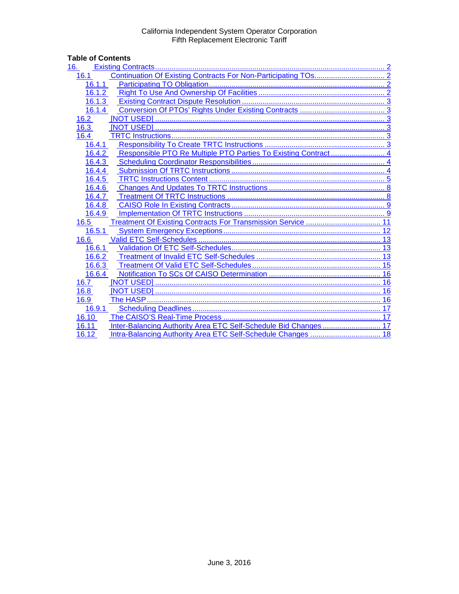# **Table of Contents**<br>16. **Existing Co**

| 16.        |
|------------|
| 16.1       |
| 16.1.1     |
| 16.1.2     |
| 16.1.3     |
| 16.1.4     |
| 16.2       |
| 16.3       |
| 16.4       |
| 16.4.1     |
| 16.4.2     |
| 16.4.3     |
| 16.4.4     |
| 16.4.5     |
| 16.4.6     |
| 16.4.7     |
| 16.4.8     |
| 16.4.9     |
| 16.5       |
| 16.5.1     |
| 16.6       |
| 16.6.1     |
| 16.6.2     |
| 16.6.3     |
| 16.6.4     |
| 16.7       |
| 16.8       |
| 16.9<br>16 |
| 16.9.1     |
| 16.10      |
| 16.11      |
| 16.12      |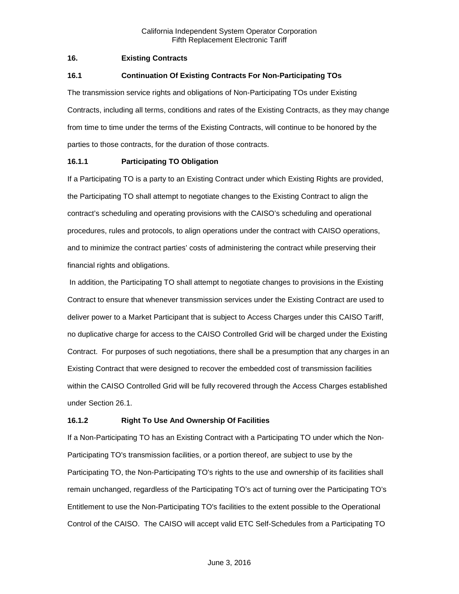# <span id="page-1-0"></span>**16. Existing Contracts**

# <span id="page-1-1"></span>**16.1 Continuation Of Existing Contracts For Non-Participating TOs**

The transmission service rights and obligations of Non-Participating TOs under Existing Contracts, including all terms, conditions and rates of the Existing Contracts, as they may change from time to time under the terms of the Existing Contracts, will continue to be honored by the parties to those contracts, for the duration of those contracts.

# <span id="page-1-2"></span>**16.1.1 Participating TO Obligation**

If a Participating TO is a party to an Existing Contract under which Existing Rights are provided, the Participating TO shall attempt to negotiate changes to the Existing Contract to align the contract's scheduling and operating provisions with the CAISO's scheduling and operational procedures, rules and protocols, to align operations under the contract with CAISO operations, and to minimize the contract parties' costs of administering the contract while preserving their financial rights and obligations.

In addition, the Participating TO shall attempt to negotiate changes to provisions in the Existing Contract to ensure that whenever transmission services under the Existing Contract are used to deliver power to a Market Participant that is subject to Access Charges under this CAISO Tariff, no duplicative charge for access to the CAISO Controlled Grid will be charged under the Existing Contract. For purposes of such negotiations, there shall be a presumption that any charges in an Existing Contract that were designed to recover the embedded cost of transmission facilities within the CAISO Controlled Grid will be fully recovered through the Access Charges established under Section 26.1.

# <span id="page-1-3"></span>**16.1.2 Right To Use And Ownership Of Facilities**

If a Non-Participating TO has an Existing Contract with a Participating TO under which the Non-Participating TO's transmission facilities, or a portion thereof, are subject to use by the Participating TO, the Non-Participating TO's rights to the use and ownership of its facilities shall remain unchanged, regardless of the Participating TO's act of turning over the Participating TO's Entitlement to use the Non-Participating TO's facilities to the extent possible to the Operational Control of the CAISO. The CAISO will accept valid ETC Self-Schedules from a Participating TO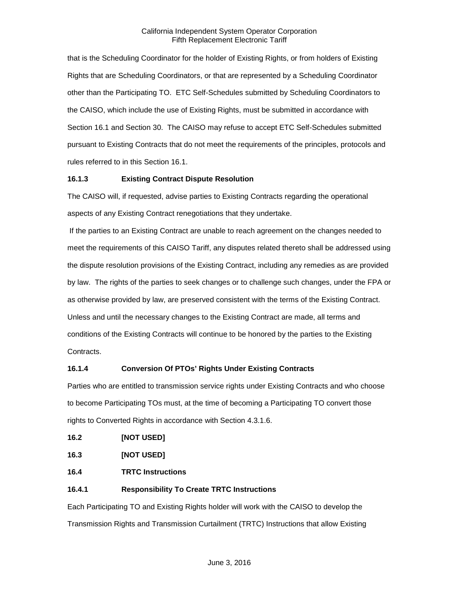that is the Scheduling Coordinator for the holder of Existing Rights, or from holders of Existing Rights that are Scheduling Coordinators, or that are represented by a Scheduling Coordinator other than the Participating TO. ETC Self-Schedules submitted by Scheduling Coordinators to the CAISO, which include the use of Existing Rights, must be submitted in accordance with Section 16.1 and Section 30. The CAISO may refuse to accept ETC Self-Schedules submitted pursuant to Existing Contracts that do not meet the requirements of the principles, protocols and rules referred to in this Section 16.1.

# <span id="page-2-0"></span>**16.1.3 Existing Contract Dispute Resolution**

The CAISO will, if requested, advise parties to Existing Contracts regarding the operational aspects of any Existing Contract renegotiations that they undertake.

If the parties to an Existing Contract are unable to reach agreement on the changes needed to meet the requirements of this CAISO Tariff, any disputes related thereto shall be addressed using the dispute resolution provisions of the Existing Contract, including any remedies as are provided by law. The rights of the parties to seek changes or to challenge such changes, under the FPA or as otherwise provided by law, are preserved consistent with the terms of the Existing Contract. Unless and until the necessary changes to the Existing Contract are made, all terms and conditions of the Existing Contracts will continue to be honored by the parties to the Existing Contracts.

# <span id="page-2-1"></span>**16.1.4 Conversion Of PTOs' Rights Under Existing Contracts**

Parties who are entitled to transmission service rights under Existing Contracts and who choose to become Participating TOs must, at the time of becoming a Participating TO convert those rights to Converted Rights in accordance with Section 4.3.1.6.

<span id="page-2-2"></span>

<span id="page-2-3"></span>**16.3 [NOT USED]**

<span id="page-2-4"></span>**16.4 TRTC Instructions**

# <span id="page-2-5"></span>**16.4.1 Responsibility To Create TRTC Instructions**

Each Participating TO and Existing Rights holder will work with the CAISO to develop the Transmission Rights and Transmission Curtailment (TRTC) Instructions that allow Existing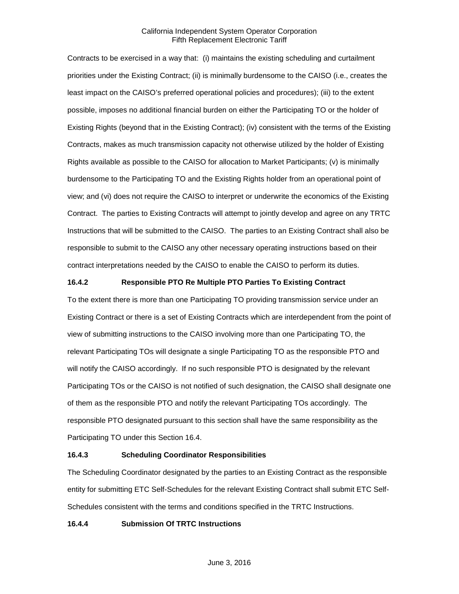Contracts to be exercised in a way that: (i) maintains the existing scheduling and curtailment priorities under the Existing Contract; (ii) is minimally burdensome to the CAISO (i.e., creates the least impact on the CAISO's preferred operational policies and procedures); (iii) to the extent possible, imposes no additional financial burden on either the Participating TO or the holder of Existing Rights (beyond that in the Existing Contract); (iv) consistent with the terms of the Existing Contracts, makes as much transmission capacity not otherwise utilized by the holder of Existing Rights available as possible to the CAISO for allocation to Market Participants; (v) is minimally burdensome to the Participating TO and the Existing Rights holder from an operational point of view; and (vi) does not require the CAISO to interpret or underwrite the economics of the Existing Contract. The parties to Existing Contracts will attempt to jointly develop and agree on any TRTC Instructions that will be submitted to the CAISO. The parties to an Existing Contract shall also be responsible to submit to the CAISO any other necessary operating instructions based on their contract interpretations needed by the CAISO to enable the CAISO to perform its duties.

# <span id="page-3-0"></span>**16.4.2 Responsible PTO Re Multiple PTO Parties To Existing Contract**

To the extent there is more than one Participating TO providing transmission service under an Existing Contract or there is a set of Existing Contracts which are interdependent from the point of view of submitting instructions to the CAISO involving more than one Participating TO, the relevant Participating TOs will designate a single Participating TO as the responsible PTO and will notify the CAISO accordingly. If no such responsible PTO is designated by the relevant Participating TOs or the CAISO is not notified of such designation, the CAISO shall designate one of them as the responsible PTO and notify the relevant Participating TOs accordingly. The responsible PTO designated pursuant to this section shall have the same responsibility as the Participating TO under this Section 16.4.

# <span id="page-3-1"></span>**16.4.3 Scheduling Coordinator Responsibilities**

The Scheduling Coordinator designated by the parties to an Existing Contract as the responsible entity for submitting ETC Self-Schedules for the relevant Existing Contract shall submit ETC Self-Schedules consistent with the terms and conditions specified in the TRTC Instructions.

# <span id="page-3-2"></span>**16.4.4 Submission Of TRTC Instructions**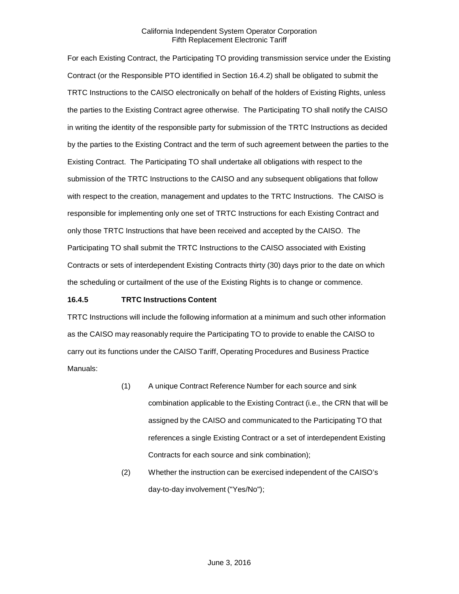For each Existing Contract, the Participating TO providing transmission service under the Existing Contract (or the Responsible PTO identified in Section 16.4.2) shall be obligated to submit the TRTC Instructions to the CAISO electronically on behalf of the holders of Existing Rights, unless the parties to the Existing Contract agree otherwise. The Participating TO shall notify the CAISO in writing the identity of the responsible party for submission of the TRTC Instructions as decided by the parties to the Existing Contract and the term of such agreement between the parties to the Existing Contract. The Participating TO shall undertake all obligations with respect to the submission of the TRTC Instructions to the CAISO and any subsequent obligations that follow with respect to the creation, management and updates to the TRTC Instructions. The CAISO is responsible for implementing only one set of TRTC Instructions for each Existing Contract and only those TRTC Instructions that have been received and accepted by the CAISO. The Participating TO shall submit the TRTC Instructions to the CAISO associated with Existing Contracts or sets of interdependent Existing Contracts thirty (30) days prior to the date on which the scheduling or curtailment of the use of the Existing Rights is to change or commence.

# <span id="page-4-0"></span>**16.4.5 TRTC Instructions Content**

TRTC Instructions will include the following information at a minimum and such other information as the CAISO may reasonably require the Participating TO to provide to enable the CAISO to carry out its functions under the CAISO Tariff, Operating Procedures and Business Practice Manuals:

- (1) A unique Contract Reference Number for each source and sink combination applicable to the Existing Contract (i.e., the CRN that will be assigned by the CAISO and communicated to the Participating TO that references a single Existing Contract or a set of interdependent Existing Contracts for each source and sink combination);
- (2) Whether the instruction can be exercised independent of the CAISO's day-to-day involvement ("Yes/No");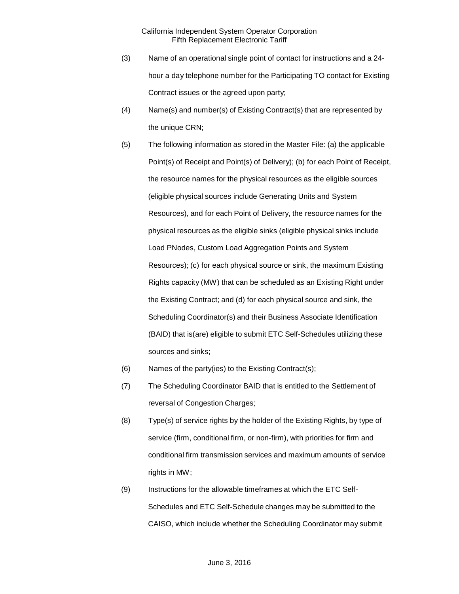- (3) Name of an operational single point of contact for instructions and a 24 hour a day telephone number for the Participating TO contact for Existing Contract issues or the agreed upon party;
- (4) Name(s) and number(s) of Existing Contract(s) that are represented by the unique CRN;
- (5) The following information as stored in the Master File: (a) the applicable Point(s) of Receipt and Point(s) of Delivery); (b) for each Point of Receipt, the resource names for the physical resources as the eligible sources (eligible physical sources include Generating Units and System Resources), and for each Point of Delivery, the resource names for the physical resources as the eligible sinks (eligible physical sinks include Load PNodes, Custom Load Aggregation Points and System Resources); (c) for each physical source or sink, the maximum Existing Rights capacity (MW) that can be scheduled as an Existing Right under the Existing Contract; and (d) for each physical source and sink, the Scheduling Coordinator(s) and their Business Associate Identification (BAID) that is(are) eligible to submit ETC Self-Schedules utilizing these sources and sinks;
- (6) Names of the party(ies) to the Existing Contract(s);
- (7) The Scheduling Coordinator BAID that is entitled to the Settlement of reversal of Congestion Charges;
- (8) Type(s) of service rights by the holder of the Existing Rights, by type of service (firm, conditional firm, or non-firm), with priorities for firm and conditional firm transmission services and maximum amounts of service rights in MW;
- (9) Instructions for the allowable timeframes at which the ETC Self-Schedules and ETC Self-Schedule changes may be submitted to the CAISO, which include whether the Scheduling Coordinator may submit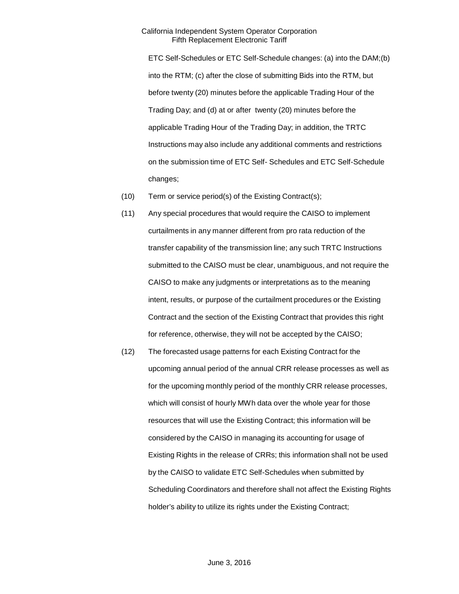ETC Self-Schedules or ETC Self-Schedule changes: (a) into the DAM;(b) into the RTM; (c) after the close of submitting Bids into the RTM, but before twenty (20) minutes before the applicable Trading Hour of the Trading Day; and (d) at or after twenty (20) minutes before the applicable Trading Hour of the Trading Day; in addition, the TRTC Instructions may also include any additional comments and restrictions on the submission time of ETC Self- Schedules and ETC Self-Schedule changes;

- (10) Term or service period(s) of the Existing Contract(s);
- (11) Any special procedures that would require the CAISO to implement curtailments in any manner different from pro rata reduction of the transfer capability of the transmission line; any such TRTC Instructions submitted to the CAISO must be clear, unambiguous, and not require the CAISO to make any judgments or interpretations as to the meaning intent, results, or purpose of the curtailment procedures or the Existing Contract and the section of the Existing Contract that provides this right for reference, otherwise, they will not be accepted by the CAISO;
- (12) The forecasted usage patterns for each Existing Contract for the upcoming annual period of the annual CRR release processes as well as for the upcoming monthly period of the monthly CRR release processes, which will consist of hourly MWh data over the whole year for those resources that will use the Existing Contract; this information will be considered by the CAISO in managing its accounting for usage of Existing Rights in the release of CRRs; this information shall not be used by the CAISO to validate ETC Self-Schedules when submitted by Scheduling Coordinators and therefore shall not affect the Existing Rights holder's ability to utilize its rights under the Existing Contract;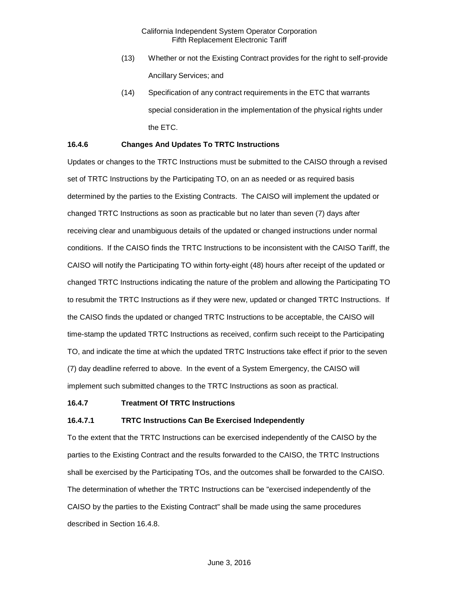- (13) Whether or not the Existing Contract provides for the right to self-provide Ancillary Services; and
- (14) Specification of any contract requirements in the ETC that warrants special consideration in the implementation of the physical rights under the ETC.

### <span id="page-7-0"></span>**16.4.6 Changes And Updates To TRTC Instructions**

Updates or changes to the TRTC Instructions must be submitted to the CAISO through a revised set of TRTC Instructions by the Participating TO, on an as needed or as required basis determined by the parties to the Existing Contracts. The CAISO will implement the updated or changed TRTC Instructions as soon as practicable but no later than seven (7) days after receiving clear and unambiguous details of the updated or changed instructions under normal conditions. If the CAISO finds the TRTC Instructions to be inconsistent with the CAISO Tariff, the CAISO will notify the Participating TO within forty-eight (48) hours after receipt of the updated or changed TRTC Instructions indicating the nature of the problem and allowing the Participating TO to resubmit the TRTC Instructions as if they were new, updated or changed TRTC Instructions. If the CAISO finds the updated or changed TRTC Instructions to be acceptable, the CAISO will time-stamp the updated TRTC Instructions as received, confirm such receipt to the Participating TO, and indicate the time at which the updated TRTC Instructions take effect if prior to the seven (7) day deadline referred to above. In the event of a System Emergency, the CAISO will implement such submitted changes to the TRTC Instructions as soon as practical.

#### <span id="page-7-1"></span>**16.4.7 Treatment Of TRTC Instructions**

#### **16.4.7.1 TRTC Instructions Can Be Exercised Independently**

To the extent that the TRTC Instructions can be exercised independently of the CAISO by the parties to the Existing Contract and the results forwarded to the CAISO, the TRTC Instructions shall be exercised by the Participating TOs, and the outcomes shall be forwarded to the CAISO. The determination of whether the TRTC Instructions can be "exercised independently of the CAISO by the parties to the Existing Contract" shall be made using the same procedures described in Section 16.4.8.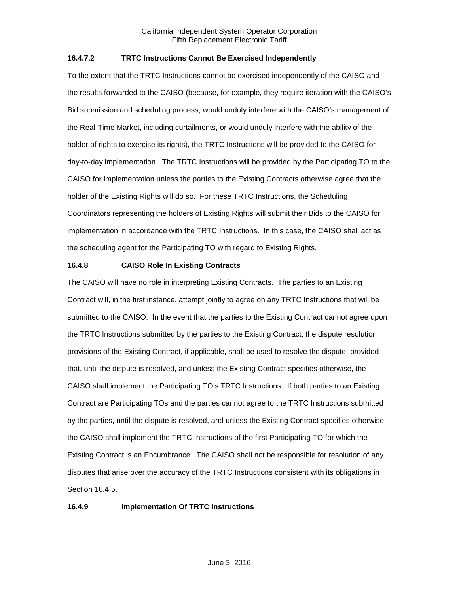# **16.4.7.2 TRTC Instructions Cannot Be Exercised Independently**

To the extent that the TRTC Instructions cannot be exercised independently of the CAISO and the results forwarded to the CAISO (because, for example, they require iteration with the CAISO's Bid submission and scheduling process, would unduly interfere with the CAISO's management of the Real-Time Market, including curtailments, or would unduly interfere with the ability of the holder of rights to exercise its rights), the TRTC Instructions will be provided to the CAISO for day-to-day implementation. The TRTC Instructions will be provided by the Participating TO to the CAISO for implementation unless the parties to the Existing Contracts otherwise agree that the holder of the Existing Rights will do so. For these TRTC Instructions, the Scheduling Coordinators representing the holders of Existing Rights will submit their Bids to the CAISO for implementation in accordance with the TRTC Instructions. In this case, the CAISO shall act as the scheduling agent for the Participating TO with regard to Existing Rights.

# <span id="page-8-0"></span>**16.4.8 CAISO Role In Existing Contracts**

The CAISO will have no role in interpreting Existing Contracts. The parties to an Existing Contract will, in the first instance, attempt jointly to agree on any TRTC Instructions that will be submitted to the CAISO. In the event that the parties to the Existing Contract cannot agree upon the TRTC Instructions submitted by the parties to the Existing Contract, the dispute resolution provisions of the Existing Contract, if applicable, shall be used to resolve the dispute; provided that, until the dispute is resolved, and unless the Existing Contract specifies otherwise, the CAISO shall implement the Participating TO's TRTC Instructions. If both parties to an Existing Contract are Participating TOs and the parties cannot agree to the TRTC Instructions submitted by the parties, until the dispute is resolved, and unless the Existing Contract specifies otherwise, the CAISO shall implement the TRTC Instructions of the first Participating TO for which the Existing Contract is an Encumbrance. The CAISO shall not be responsible for resolution of any disputes that arise over the accuracy of the TRTC Instructions consistent with its obligations in Section 16.4.5.

# <span id="page-8-1"></span>**16.4.9 Implementation Of TRTC Instructions**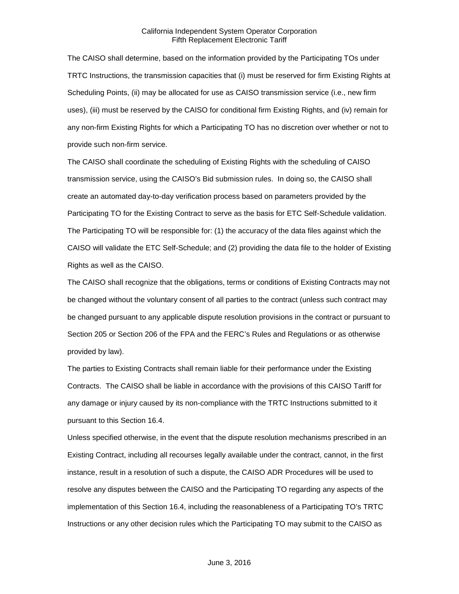The CAISO shall determine, based on the information provided by the Participating TOs under TRTC Instructions, the transmission capacities that (i) must be reserved for firm Existing Rights at Scheduling Points, (ii) may be allocated for use as CAISO transmission service (i.e., new firm uses), (iii) must be reserved by the CAISO for conditional firm Existing Rights, and (iv) remain for any non-firm Existing Rights for which a Participating TO has no discretion over whether or not to provide such non-firm service.

The CAISO shall coordinate the scheduling of Existing Rights with the scheduling of CAISO transmission service, using the CAISO's Bid submission rules. In doing so, the CAISO shall create an automated day-to-day verification process based on parameters provided by the Participating TO for the Existing Contract to serve as the basis for ETC Self-Schedule validation. The Participating TO will be responsible for: (1) the accuracy of the data files against which the CAISO will validate the ETC Self-Schedule; and (2) providing the data file to the holder of Existing Rights as well as the CAISO.

The CAISO shall recognize that the obligations, terms or conditions of Existing Contracts may not be changed without the voluntary consent of all parties to the contract (unless such contract may be changed pursuant to any applicable dispute resolution provisions in the contract or pursuant to Section 205 or Section 206 of the FPA and the FERC's Rules and Regulations or as otherwise provided by law).

The parties to Existing Contracts shall remain liable for their performance under the Existing Contracts. The CAISO shall be liable in accordance with the provisions of this CAISO Tariff for any damage or injury caused by its non-compliance with the TRTC Instructions submitted to it pursuant to this Section 16.4.

Unless specified otherwise, in the event that the dispute resolution mechanisms prescribed in an Existing Contract, including all recourses legally available under the contract, cannot, in the first instance, result in a resolution of such a dispute, the CAISO ADR Procedures will be used to resolve any disputes between the CAISO and the Participating TO regarding any aspects of the implementation of this Section 16.4, including the reasonableness of a Participating TO's TRTC Instructions or any other decision rules which the Participating TO may submit to the CAISO as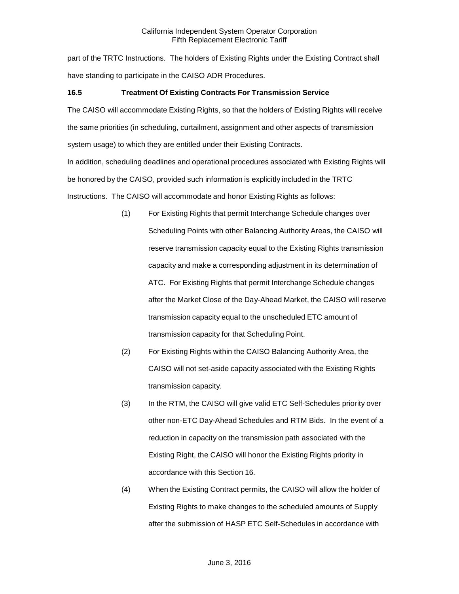part of the TRTC Instructions. The holders of Existing Rights under the Existing Contract shall have standing to participate in the CAISO ADR Procedures.

# <span id="page-10-0"></span>**16.5 Treatment Of Existing Contracts For Transmission Service**

The CAISO will accommodate Existing Rights, so that the holders of Existing Rights will receive the same priorities (in scheduling, curtailment, assignment and other aspects of transmission system usage) to which they are entitled under their Existing Contracts.

In addition, scheduling deadlines and operational procedures associated with Existing Rights will be honored by the CAISO, provided such information is explicitly included in the TRTC Instructions. The CAISO will accommodate and honor Existing Rights as follows:

- (1) For Existing Rights that permit Interchange Schedule changes over Scheduling Points with other Balancing Authority Areas, the CAISO will reserve transmission capacity equal to the Existing Rights transmission capacity and make a corresponding adjustment in its determination of ATC. For Existing Rights that permit Interchange Schedule changes after the Market Close of the Day-Ahead Market, the CAISO will reserve transmission capacity equal to the unscheduled ETC amount of transmission capacity for that Scheduling Point.
- (2) For Existing Rights within the CAISO Balancing Authority Area, the CAISO will not set-aside capacity associated with the Existing Rights transmission capacity.
- (3) In the RTM, the CAISO will give valid ETC Self-Schedules priority over other non-ETC Day-Ahead Schedules and RTM Bids. In the event of a reduction in capacity on the transmission path associated with the Existing Right, the CAISO will honor the Existing Rights priority in accordance with this Section 16.
- (4) When the Existing Contract permits, the CAISO will allow the holder of Existing Rights to make changes to the scheduled amounts of Supply after the submission of HASP ETC Self-Schedules in accordance with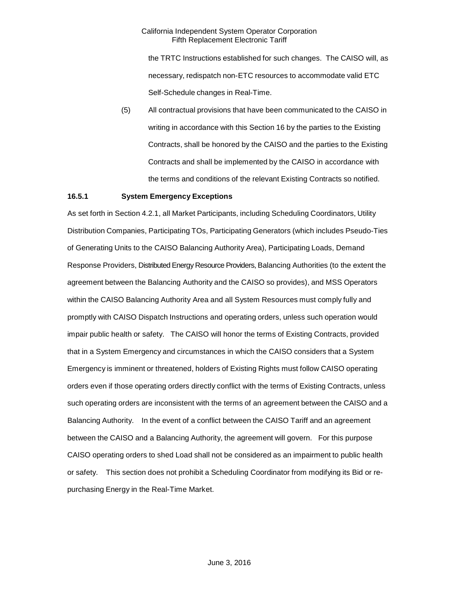the TRTC Instructions established for such changes. The CAISO will, as necessary, redispatch non-ETC resources to accommodate valid ETC Self-Schedule changes in Real-Time.

(5) All contractual provisions that have been communicated to the CAISO in writing in accordance with this Section 16 by the parties to the Existing Contracts, shall be honored by the CAISO and the parties to the Existing Contracts and shall be implemented by the CAISO in accordance with the terms and conditions of the relevant Existing Contracts so notified.

# <span id="page-11-0"></span>**16.5.1 System Emergency Exceptions**

As set forth in Section 4.2.1, all Market Participants, including Scheduling Coordinators, Utility Distribution Companies, Participating TOs, Participating Generators (which includes Pseudo-Ties of Generating Units to the CAISO Balancing Authority Area), Participating Loads, Demand Response Providers, Distributed Energy Resource Providers, Balancing Authorities (to the extent the agreement between the Balancing Authority and the CAISO so provides), and MSS Operators within the CAISO Balancing Authority Area and all System Resources must comply fully and promptly with CAISO Dispatch Instructions and operating orders, unless such operation would impair public health or safety. The CAISO will honor the terms of Existing Contracts, provided that in a System Emergency and circumstances in which the CAISO considers that a System Emergency is imminent or threatened, holders of Existing Rights must follow CAISO operating orders even if those operating orders directly conflict with the terms of Existing Contracts, unless such operating orders are inconsistent with the terms of an agreement between the CAISO and a Balancing Authority. In the event of a conflict between the CAISO Tariff and an agreement between the CAISO and a Balancing Authority, the agreement will govern. For this purpose CAISO operating orders to shed Load shall not be considered as an impairment to public health or safety. This section does not prohibit a Scheduling Coordinator from modifying its Bid or repurchasing Energy in the Real-Time Market.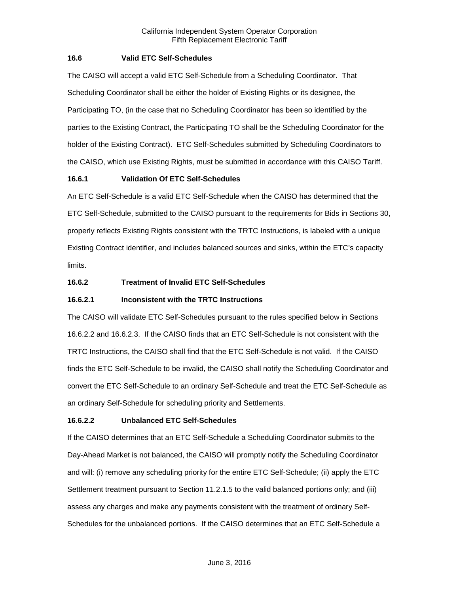# <span id="page-12-0"></span>**16.6 Valid ETC Self-Schedules**

The CAISO will accept a valid ETC Self-Schedule from a Scheduling Coordinator. That Scheduling Coordinator shall be either the holder of Existing Rights or its designee, the Participating TO, (in the case that no Scheduling Coordinator has been so identified by the parties to the Existing Contract, the Participating TO shall be the Scheduling Coordinator for the holder of the Existing Contract). ETC Self-Schedules submitted by Scheduling Coordinators to the CAISO, which use Existing Rights, must be submitted in accordance with this CAISO Tariff.

# <span id="page-12-1"></span>**16.6.1 Validation Of ETC Self-Schedules**

An ETC Self-Schedule is a valid ETC Self-Schedule when the CAISO has determined that the ETC Self-Schedule, submitted to the CAISO pursuant to the requirements for Bids in Sections 30, properly reflects Existing Rights consistent with the TRTC Instructions, is labeled with a unique Existing Contract identifier, and includes balanced sources and sinks, within the ETC's capacity limits.

# <span id="page-12-2"></span>**16.6.2 Treatment of Invalid ETC Self-Schedules**

# **16.6.2.1 Inconsistent with the TRTC Instructions**

The CAISO will validate ETC Self-Schedules pursuant to the rules specified below in Sections 16.6.2.2 and 16.6.2.3. If the CAISO finds that an ETC Self-Schedule is not consistent with the TRTC Instructions, the CAISO shall find that the ETC Self-Schedule is not valid. If the CAISO finds the ETC Self-Schedule to be invalid, the CAISO shall notify the Scheduling Coordinator and convert the ETC Self-Schedule to an ordinary Self-Schedule and treat the ETC Self-Schedule as an ordinary Self-Schedule for scheduling priority and Settlements.

# **16.6.2.2 Unbalanced ETC Self-Schedules**

If the CAISO determines that an ETC Self-Schedule a Scheduling Coordinator submits to the Day-Ahead Market is not balanced, the CAISO will promptly notify the Scheduling Coordinator and will: (i) remove any scheduling priority for the entire ETC Self-Schedule; (ii) apply the ETC Settlement treatment pursuant to Section 11.2.1.5 to the valid balanced portions only; and (iii) assess any charges and make any payments consistent with the treatment of ordinary Self-Schedules for the unbalanced portions. If the CAISO determines that an ETC Self-Schedule a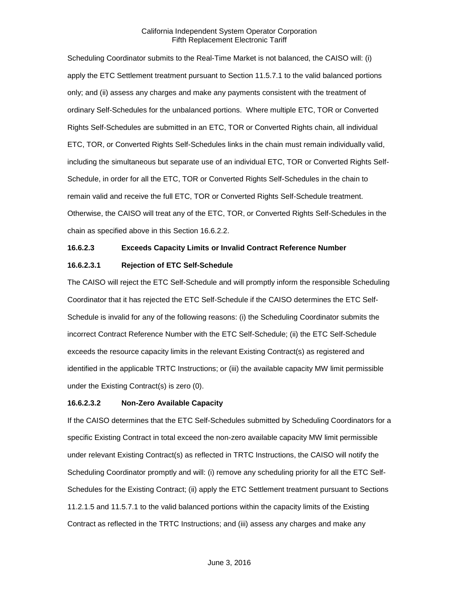Scheduling Coordinator submits to the Real-Time Market is not balanced, the CAISO will: (i) apply the ETC Settlement treatment pursuant to Section 11.5.7.1 to the valid balanced portions only; and (ii) assess any charges and make any payments consistent with the treatment of ordinary Self-Schedules for the unbalanced portions. Where multiple ETC, TOR or Converted Rights Self-Schedules are submitted in an ETC, TOR or Converted Rights chain, all individual ETC, TOR, or Converted Rights Self-Schedules links in the chain must remain individually valid, including the simultaneous but separate use of an individual ETC, TOR or Converted Rights Self-Schedule, in order for all the ETC, TOR or Converted Rights Self-Schedules in the chain to remain valid and receive the full ETC, TOR or Converted Rights Self-Schedule treatment. Otherwise, the CAISO will treat any of the ETC, TOR, or Converted Rights Self-Schedules in the chain as specified above in this Section 16.6.2.2.

# **16.6.2.3 Exceeds Capacity Limits or Invalid Contract Reference Number**

#### **16.6.2.3.1 Rejection of ETC Self-Schedule**

The CAISO will reject the ETC Self-Schedule and will promptly inform the responsible Scheduling Coordinator that it has rejected the ETC Self-Schedule if the CAISO determines the ETC Self-Schedule is invalid for any of the following reasons: (i) the Scheduling Coordinator submits the incorrect Contract Reference Number with the ETC Self-Schedule; (ii) the ETC Self-Schedule exceeds the resource capacity limits in the relevant Existing Contract(s) as registered and identified in the applicable TRTC Instructions; or (iii) the available capacity MW limit permissible under the Existing Contract(s) is zero (0).

#### **16.6.2.3.2 Non-Zero Available Capacity**

If the CAISO determines that the ETC Self-Schedules submitted by Scheduling Coordinators for a specific Existing Contract in total exceed the non-zero available capacity MW limit permissible under relevant Existing Contract(s) as reflected in TRTC Instructions, the CAISO will notify the Scheduling Coordinator promptly and will: (i) remove any scheduling priority for all the ETC Self-Schedules for the Existing Contract; (ii) apply the ETC Settlement treatment pursuant to Sections 11.2.1.5 and 11.5.7.1 to the valid balanced portions within the capacity limits of the Existing Contract as reflected in the TRTC Instructions; and (iii) assess any charges and make any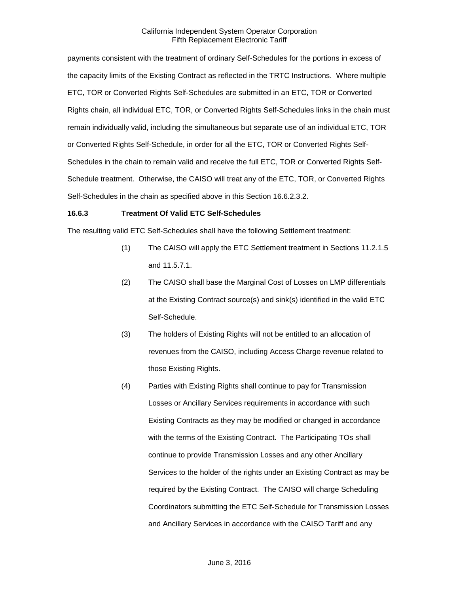payments consistent with the treatment of ordinary Self-Schedules for the portions in excess of the capacity limits of the Existing Contract as reflected in the TRTC Instructions. Where multiple ETC, TOR or Converted Rights Self-Schedules are submitted in an ETC, TOR or Converted Rights chain, all individual ETC, TOR, or Converted Rights Self-Schedules links in the chain must remain individually valid, including the simultaneous but separate use of an individual ETC, TOR or Converted Rights Self-Schedule, in order for all the ETC, TOR or Converted Rights Self-Schedules in the chain to remain valid and receive the full ETC, TOR or Converted Rights Self-Schedule treatment. Otherwise, the CAISO will treat any of the ETC, TOR, or Converted Rights Self-Schedules in the chain as specified above in this Section 16.6.2.3.2.

#### <span id="page-14-0"></span>**16.6.3 Treatment Of Valid ETC Self-Schedules**

The resulting valid ETC Self-Schedules shall have the following Settlement treatment:

- (1) The CAISO will apply the ETC Settlement treatment in Sections 11.2.1.5 and 11.5.7.1.
- (2) The CAISO shall base the Marginal Cost of Losses on LMP differentials at the Existing Contract source(s) and sink(s) identified in the valid ETC Self-Schedule.
- (3) The holders of Existing Rights will not be entitled to an allocation of revenues from the CAISO, including Access Charge revenue related to those Existing Rights.
- (4) Parties with Existing Rights shall continue to pay for Transmission Losses or Ancillary Services requirements in accordance with such Existing Contracts as they may be modified or changed in accordance with the terms of the Existing Contract. The Participating TOs shall continue to provide Transmission Losses and any other Ancillary Services to the holder of the rights under an Existing Contract as may be required by the Existing Contract. The CAISO will charge Scheduling Coordinators submitting the ETC Self-Schedule for Transmission Losses and Ancillary Services in accordance with the CAISO Tariff and any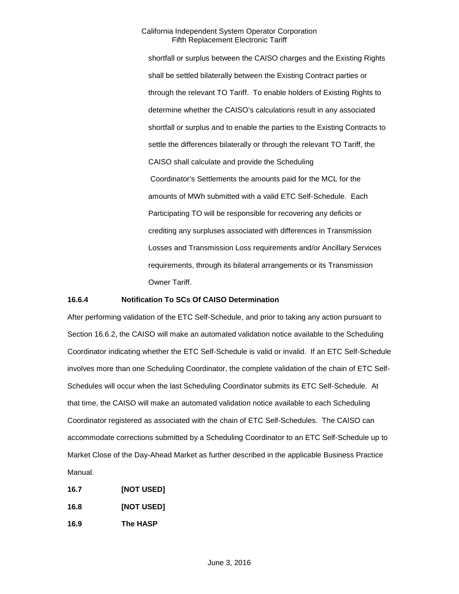shortfall or surplus between the CAISO charges and the Existing Rights shall be settled bilaterally between the Existing Contract parties or through the relevant TO Tariff. To enable holders of Existing Rights to determine whether the CAISO's calculations result in any associated shortfall or surplus and to enable the parties to the Existing Contracts to settle the differences bilaterally or through the relevant TO Tariff, the CAISO shall calculate and provide the Scheduling Coordinator's Settlements the amounts paid for the MCL for the amounts of MWh submitted with a valid ETC Self-Schedule. Each Participating TO will be responsible for recovering any deficits or crediting any surpluses associated with differences in Transmission Losses and Transmission Loss requirements and/or Ancillary Services requirements, through its bilateral arrangements or its Transmission Owner Tariff.

### <span id="page-15-0"></span>**16.6.4 Notification To SCs Of CAISO Determination**

After performing validation of the ETC Self-Schedule, and prior to taking any action pursuant to Section 16.6.2, the CAISO will make an automated validation notice available to the Scheduling Coordinator indicating whether the ETC Self-Schedule is valid or invalid. If an ETC Self-Schedule involves more than one Scheduling Coordinator, the complete validation of the chain of ETC Self-Schedules will occur when the last Scheduling Coordinator submits its ETC Self-Schedule. At that time, the CAISO will make an automated validation notice available to each Scheduling Coordinator registered as associated with the chain of ETC Self-Schedules. The CAISO can accommodate corrections submitted by a Scheduling Coordinator to an ETC Self-Schedule up to Market Close of the Day-Ahead Market as further described in the applicable Business Practice Manual.

<span id="page-15-3"></span><span id="page-15-2"></span><span id="page-15-1"></span>**16.7 [NOT USED] 16.8 [NOT USED] 16.9 The HASP**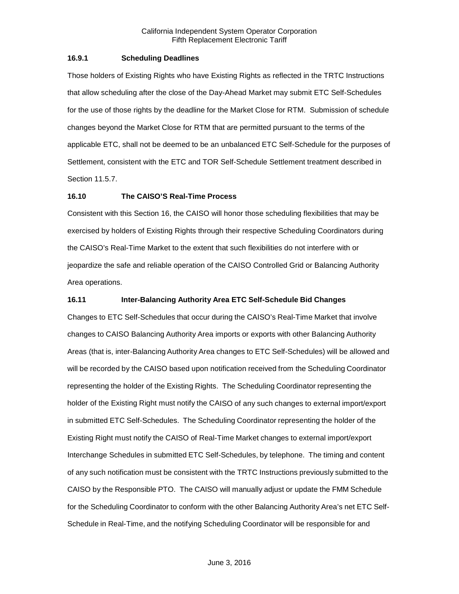# <span id="page-16-0"></span>**16.9.1 Scheduling Deadlines**

Those holders of Existing Rights who have Existing Rights as reflected in the TRTC Instructions that allow scheduling after the close of the Day-Ahead Market may submit ETC Self-Schedules for the use of those rights by the deadline for the Market Close for RTM. Submission of schedule changes beyond the Market Close for RTM that are permitted pursuant to the terms of the applicable ETC, shall not be deemed to be an unbalanced ETC Self-Schedule for the purposes of Settlement, consistent with the ETC and TOR Self-Schedule Settlement treatment described in Section 11.5.7.

#### <span id="page-16-1"></span>**16.10 The CAISO'S Real-Time Process**

Consistent with this Section 16, the CAISO will honor those scheduling flexibilities that may be exercised by holders of Existing Rights through their respective Scheduling Coordinators during the CAISO's Real-Time Market to the extent that such flexibilities do not interfere with or jeopardize the safe and reliable operation of the CAISO Controlled Grid or Balancing Authority Area operations.

### <span id="page-16-2"></span>**16.11 Inter-Balancing Authority Area ETC Self-Schedule Bid Changes**

Changes to ETC Self-Schedules that occur during the CAISO's Real-Time Market that involve changes to CAISO Balancing Authority Area imports or exports with other Balancing Authority Areas (that is, inter-Balancing Authority Area changes to ETC Self-Schedules) will be allowed and will be recorded by the CAISO based upon notification received from the Scheduling Coordinator representing the holder of the Existing Rights. The Scheduling Coordinator representing the holder of the Existing Right must notify the CAISO of any such changes to external import/export in submitted ETC Self-Schedules. The Scheduling Coordinator representing the holder of the Existing Right must notify the CAISO of Real-Time Market changes to external import/export Interchange Schedules in submitted ETC Self-Schedules, by telephone. The timing and content of any such notification must be consistent with the TRTC Instructions previously submitted to the CAISO by the Responsible PTO. The CAISO will manually adjust or update the FMM Schedule for the Scheduling Coordinator to conform with the other Balancing Authority Area's net ETC Self-Schedule in Real-Time, and the notifying Scheduling Coordinator will be responsible for and